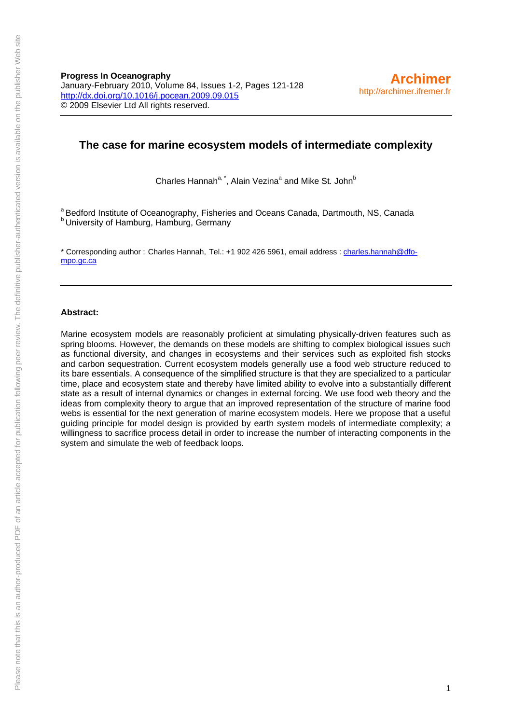**Progress In Oceanography**  January-February 2010, Volume 84, Issues 1-2, Pages 121-128 <http://dx.doi.org/10.1016/j.pocean.2009.09.015> © 2009 Elsevier Ltd All rights reserved.

## **The case for marine ecosystem models of intermediate complexity**

Charles Hannah<sup>a, \*</sup>, Alain Vezina<sup>a</sup> and Mike St. John<sup>b</sup>

<sup>a</sup> Bedford Institute of Oceanography, Fisheries and Oceans Canada, Dartmouth, NS, Canada b University of Hamburg, Hamburg, Germany

\* Corresponding author : Charles Hannah, Tel.: +1 902 426 5961, email address : [charles.hannah@dfo](mailto:charles.hannah@dfo-mpo.gc.ca)[mpo.gc.ca](mailto:charles.hannah@dfo-mpo.gc.ca)

#### **Abstract:**

Marine ecosystem models are reasonably proficient at simulating physically-driven features such as spring blooms. However, the demands on these models are shifting to complex biological issues such as functional diversity, and changes in ecosystems and their services such as exploited fish stocks and carbon sequestration. Current ecosystem models generally use a food web structure reduced to its bare essentials. A consequence of the simplified structure is that they are specialized to a particular time, place and ecosystem state and thereby have limited ability to evolve into a substantially different state as a result of internal dynamics or changes in external forcing. We use food web theory and the ideas from complexity theory to argue that an improved representation of the structure of marine food webs is essential for the next generation of marine ecosystem models. Here we propose that a useful guiding principle for model design is provided by earth system models of intermediate complexity; a willingness to sacrifice process detail in order to increase the number of interacting components in the system and simulate the web of feedback loops.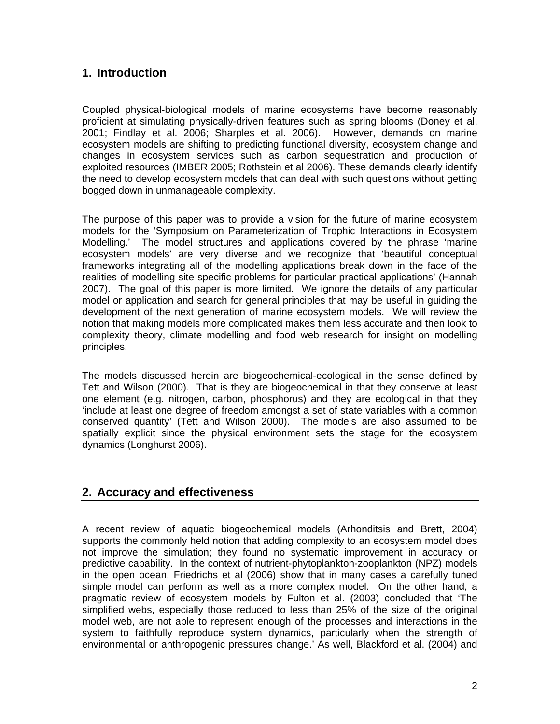# **1. Introduction**

Coupled physical-biological models of marine ecosystems have become reasonably proficient at simulating physically-driven features such as spring blooms (Doney et al. 2001; Findlay et al. 2006; Sharples et al. 2006). However, demands on marine ecosystem models are shifting to predicting functional diversity, ecosystem change and changes in ecosystem services such as carbon sequestration and production of exploited resources (IMBER 2005; Rothstein et al 2006). These demands clearly identify the need to develop ecosystem models that can deal with such questions without getting bogged down in unmanageable complexity.

The purpose of this paper was to provide a vision for the future of marine ecosystem models for the 'Symposium on Parameterization of Trophic Interactions in Ecosystem Modelling.' The model structures and applications covered by the phrase 'marine ecosystem models' are very diverse and we recognize that 'beautiful conceptual frameworks integrating all of the modelling applications break down in the face of the realities of modelling site specific problems for particular practical applications' (Hannah 2007). The goal of this paper is more limited. We ignore the details of any particular model or application and search for general principles that may be useful in guiding the development of the next generation of marine ecosystem models. We will review the notion that making models more complicated makes them less accurate and then look to complexity theory, climate modelling and food web research for insight on modelling principles.

The models discussed herein are biogeochemical-ecological in the sense defined by Tett and Wilson (2000). That is they are biogeochemical in that they conserve at least one element (e.g. nitrogen, carbon, phosphorus) and they are ecological in that they 'include at least one degree of freedom amongst a set of state variables with a common conserved quantity' (Tett and Wilson 2000). The models are also assumed to be spatially explicit since the physical environment sets the stage for the ecosystem dynamics (Longhurst 2006).

# **2. Accuracy and effectiveness**

A recent review of aquatic biogeochemical models (Arhonditsis and Brett, 2004) supports the commonly held notion that adding complexity to an ecosystem model does not improve the simulation; they found no systematic improvement in accuracy or predictive capability. In the context of nutrient-phytoplankton-zooplankton (NPZ) models in the open ocean, Friedrichs et al (2006) show that in many cases a carefully tuned simple model can perform as well as a more complex model. On the other hand, a pragmatic review of ecosystem models by Fulton et al. (2003) concluded that 'The simplified webs, especially those reduced to less than 25% of the size of the original model web, are not able to represent enough of the processes and interactions in the system to faithfully reproduce system dynamics, particularly when the strength of environmental or anthropogenic pressures change.' As well, Blackford et al. (2004) and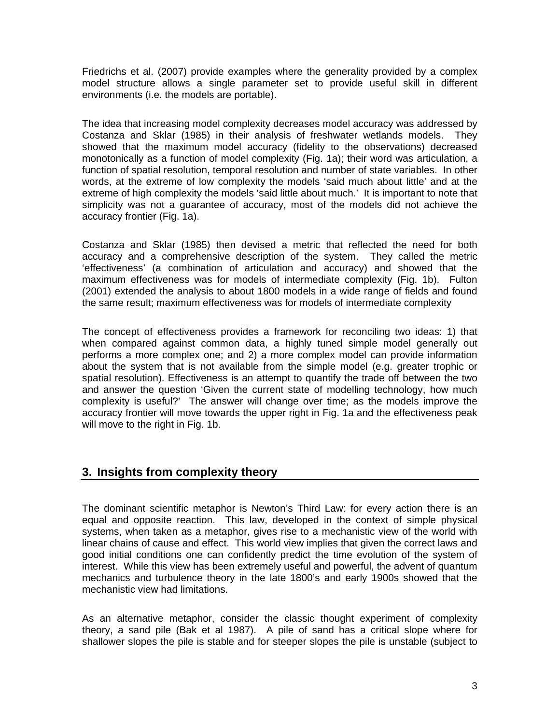Friedrichs et al. (2007) provide examples where the generality provided by a complex model structure allows a single parameter set to provide useful skill in different environments (i.e. the models are portable).

The idea that increasing model complexity decreases model accuracy was addressed by Costanza and Sklar (1985) in their analysis of freshwater wetlands models. They showed that the maximum model accuracy (fidelity to the observations) decreased monotonically as a function of model complexity (Fig. 1a); their word was articulation, a function of spatial resolution, temporal resolution and number of state variables. In other words, at the extreme of low complexity the models 'said much about little' and at the extreme of high complexity the models 'said little about much.' It is important to note that simplicity was not a guarantee of accuracy, most of the models did not achieve the accuracy frontier (Fig. 1a).

Costanza and Sklar (1985) then devised a metric that reflected the need for both accuracy and a comprehensive description of the system. They called the metric 'effectiveness' (a combination of articulation and accuracy) and showed that the maximum effectiveness was for models of intermediate complexity (Fig. 1b). Fulton (2001) extended the analysis to about 1800 models in a wide range of fields and found the same result; maximum effectiveness was for models of intermediate complexity

The concept of effectiveness provides a framework for reconciling two ideas: 1) that when compared against common data, a highly tuned simple model generally out performs a more complex one; and 2) a more complex model can provide information about the system that is not available from the simple model (e.g. greater trophic or spatial resolution). Effectiveness is an attempt to quantify the trade off between the two and answer the question 'Given the current state of modelling technology, how much complexity is useful?' The answer will change over time; as the models improve the accuracy frontier will move towards the upper right in Fig. 1a and the effectiveness peak will move to the right in Fig. 1b.

# **3. Insights from complexity theory**

The dominant scientific metaphor is Newton's Third Law: for every action there is an equal and opposite reaction. This law, developed in the context of simple physical systems, when taken as a metaphor, gives rise to a mechanistic view of the world with linear chains of cause and effect. This world view implies that given the correct laws and good initial conditions one can confidently predict the time evolution of the system of interest. While this view has been extremely useful and powerful, the advent of quantum mechanics and turbulence theory in the late 1800's and early 1900s showed that the mechanistic view had limitations.

As an alternative metaphor, consider the classic thought experiment of complexity theory, a sand pile (Bak et al 1987). A pile of sand has a critical slope where for shallower slopes the pile is stable and for steeper slopes the pile is unstable (subject to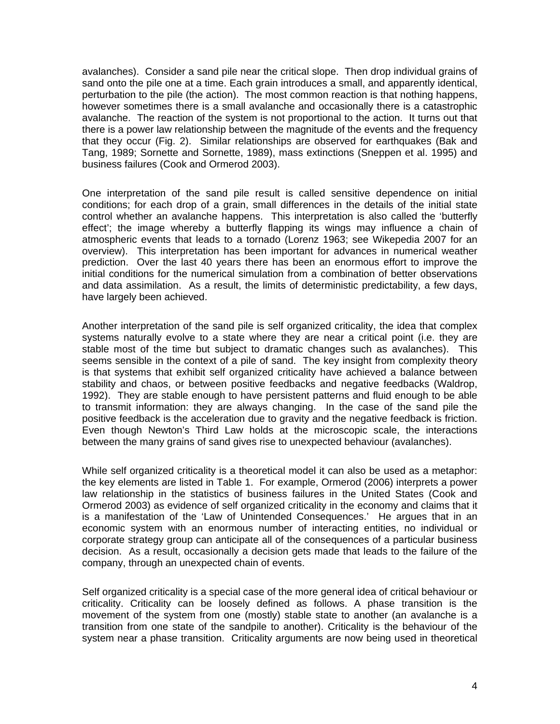avalanches). Consider a sand pile near the critical slope. Then drop individual grains of sand onto the pile one at a time. Each grain introduces a small, and apparently identical, perturbation to the pile (the action). The most common reaction is that nothing happens, however sometimes there is a small avalanche and occasionally there is a catastrophic avalanche. The reaction of the system is not proportional to the action. It turns out that there is a power law relationship between the magnitude of the events and the frequency that they occur (Fig. 2). Similar relationships are observed for earthquakes (Bak and Tang, 1989; Sornette and Sornette, 1989), mass extinctions (Sneppen et al. 1995) and business failures (Cook and Ormerod 2003).

One interpretation of the sand pile result is called sensitive dependence on initial conditions; for each drop of a grain, small differences in the details of the initial state control whether an avalanche happens. This interpretation is also called the 'butterfly effect'; the image whereby a butterfly flapping its wings may influence a chain of atmospheric events that leads to a tornado (Lorenz 1963; see Wikepedia 2007 for an overview). This interpretation has been important for advances in numerical weather prediction. Over the last 40 years there has been an enormous effort to improve the initial conditions for the numerical simulation from a combination of better observations and data assimilation. As a result, the limits of deterministic predictability, a few days, have largely been achieved.

Another interpretation of the sand pile is self organized criticality, the idea that complex systems naturally evolve to a state where they are near a critical point (i.e. they are stable most of the time but subject to dramatic changes such as avalanches). This seems sensible in the context of a pile of sand. The key insight from complexity theory is that systems that exhibit self organized criticality have achieved a balance between stability and chaos, or between positive feedbacks and negative feedbacks (Waldrop, 1992). They are stable enough to have persistent patterns and fluid enough to be able to transmit information: they are always changing. In the case of the sand pile the positive feedback is the acceleration due to gravity and the negative feedback is friction. Even though Newton's Third Law holds at the microscopic scale, the interactions between the many grains of sand gives rise to unexpected behaviour (avalanches).

While self organized criticality is a theoretical model it can also be used as a metaphor: the key elements are listed in Table 1. For example, Ormerod (2006) interprets a power law relationship in the statistics of business failures in the United States (Cook and Ormerod 2003) as evidence of self organized criticality in the economy and claims that it is a manifestation of the 'Law of Unintended Consequences.' He argues that in an economic system with an enormous number of interacting entities, no individual or corporate strategy group can anticipate all of the consequences of a particular business decision. As a result, occasionally a decision gets made that leads to the failure of the company, through an unexpected chain of events.

Self organized criticality is a special case of the more general idea of critical behaviour or criticality. Criticality can be loosely defined as follows. A phase transition is the movement of the system from one (mostly) stable state to another (an avalanche is a transition from one state of the sandpile to another). Criticality is the behaviour of the system near a phase transition. Criticality arguments are now being used in theoretical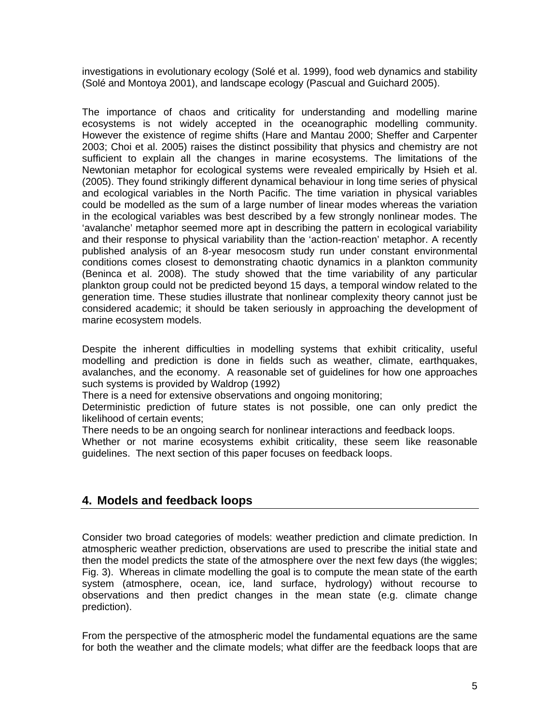investigations in evolutionary ecology (Solé et al. 1999), food web dynamics and stability (Solé and Montoya 2001), and landscape ecology (Pascual and Guichard 2005).

The importance of chaos and criticality for understanding and modelling marine ecosystems is not widely accepted in the oceanographic modelling community. However the existence of regime shifts (Hare and Mantau 2000; Sheffer and Carpenter 2003; Choi et al. 2005) raises the distinct possibility that physics and chemistry are not sufficient to explain all the changes in marine ecosystems. The limitations of the Newtonian metaphor for ecological systems were revealed empirically by Hsieh et al. (2005). They found strikingly different dynamical behaviour in long time series of physical and ecological variables in the North Pacific. The time variation in physical variables could be modelled as the sum of a large number of linear modes whereas the variation in the ecological variables was best described by a few strongly nonlinear modes. The 'avalanche' metaphor seemed more apt in describing the pattern in ecological variability and their response to physical variability than the 'action-reaction' metaphor. A recently published analysis of an 8-year mesocosm study run under constant environmental conditions comes closest to demonstrating chaotic dynamics in a plankton community (Beninca et al. 2008). The study showed that the time variability of any particular plankton group could not be predicted beyond 15 days, a temporal window related to the generation time. These studies illustrate that nonlinear complexity theory cannot just be considered academic; it should be taken seriously in approaching the development of marine ecosystem models.

Despite the inherent difficulties in modelling systems that exhibit criticality, useful modelling and prediction is done in fields such as weather, climate, earthquakes, avalanches, and the economy. A reasonable set of guidelines for how one approaches such systems is provided by Waldrop (1992)

There is a need for extensive observations and ongoing monitoring;

Deterministic prediction of future states is not possible, one can only predict the likelihood of certain events;

There needs to be an ongoing search for nonlinear interactions and feedback loops.

Whether or not marine ecosystems exhibit criticality, these seem like reasonable guidelines. The next section of this paper focuses on feedback loops.

# **4. Models and feedback loops**

Consider two broad categories of models: weather prediction and climate prediction. In atmospheric weather prediction, observations are used to prescribe the initial state and then the model predicts the state of the atmosphere over the next few days (the wiggles; Fig. 3). Whereas in climate modelling the goal is to compute the mean state of the earth system (atmosphere, ocean, ice, land surface, hydrology) without recourse to observations and then predict changes in the mean state (e.g. climate change prediction).

From the perspective of the atmospheric model the fundamental equations are the same for both the weather and the climate models; what differ are the feedback loops that are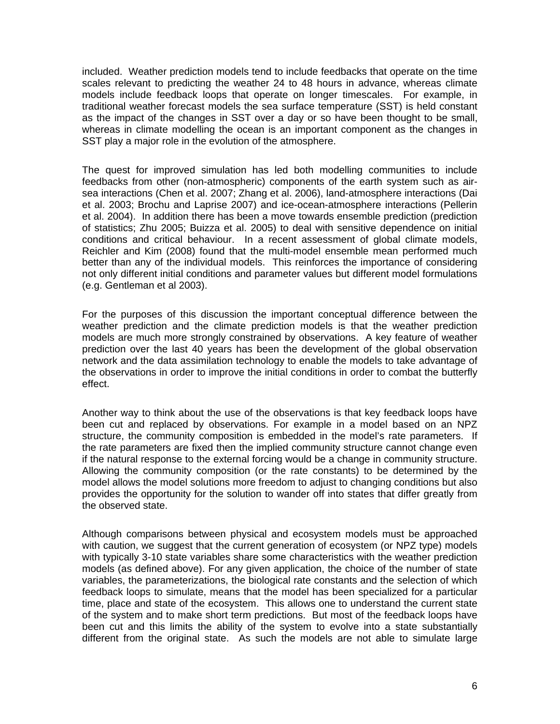included. Weather prediction models tend to include feedbacks that operate on the time scales relevant to predicting the weather 24 to 48 hours in advance, whereas climate models include feedback loops that operate on longer timescales. For example, in traditional weather forecast models the sea surface temperature (SST) is held constant as the impact of the changes in SST over a day or so have been thought to be small, whereas in climate modelling the ocean is an important component as the changes in SST play a major role in the evolution of the atmosphere.

The quest for improved simulation has led both modelling communities to include feedbacks from other (non-atmospheric) components of the earth system such as airsea interactions (Chen et al. 2007; Zhang et al. 2006), land-atmosphere interactions (Dai et al. 2003; Brochu and Laprise 2007) and ice-ocean-atmosphere interactions (Pellerin et al. 2004). In addition there has been a move towards ensemble prediction (prediction of statistics; Zhu 2005; Buizza et al. 2005) to deal with sensitive dependence on initial conditions and critical behaviour. In a recent assessment of global climate models, Reichler and Kim (2008) found that the multi-model ensemble mean performed much better than any of the individual models. This reinforces the importance of considering not only different initial conditions and parameter values but different model formulations (e.g. Gentleman et al 2003).

For the purposes of this discussion the important conceptual difference between the weather prediction and the climate prediction models is that the weather prediction models are much more strongly constrained by observations. A key feature of weather prediction over the last 40 years has been the development of the global observation network and the data assimilation technology to enable the models to take advantage of the observations in order to improve the initial conditions in order to combat the butterfly effect.

Another way to think about the use of the observations is that key feedback loops have been cut and replaced by observations. For example in a model based on an NPZ structure, the community composition is embedded in the model's rate parameters. If the rate parameters are fixed then the implied community structure cannot change even if the natural response to the external forcing would be a change in community structure. Allowing the community composition (or the rate constants) to be determined by the model allows the model solutions more freedom to adjust to changing conditions but also provides the opportunity for the solution to wander off into states that differ greatly from the observed state.

Although comparisons between physical and ecosystem models must be approached with caution, we suggest that the current generation of ecosystem (or NPZ type) models with typically 3-10 state variables share some characteristics with the weather prediction models (as defined above). For any given application, the choice of the number of state variables, the parameterizations, the biological rate constants and the selection of which feedback loops to simulate, means that the model has been specialized for a particular time, place and state of the ecosystem. This allows one to understand the current state of the system and to make short term predictions. But most of the feedback loops have been cut and this limits the ability of the system to evolve into a state substantially different from the original state. As such the models are not able to simulate large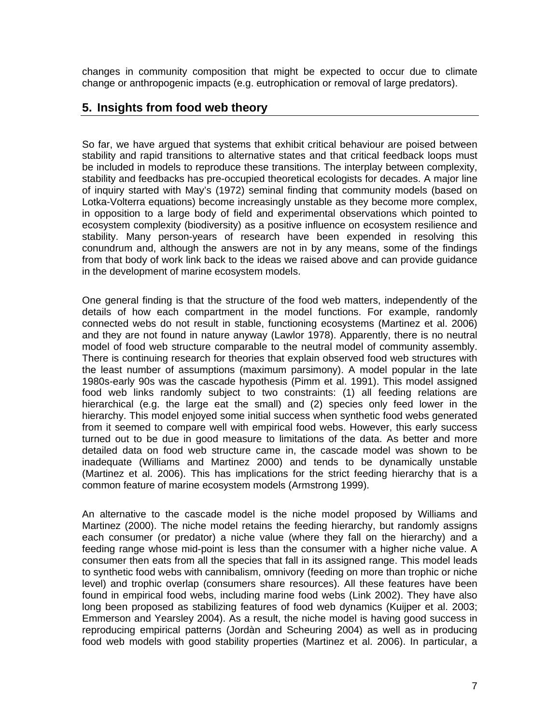changes in community composition that might be expected to occur due to climate change or anthropogenic impacts (e.g. eutrophication or removal of large predators).

## **5. Insights from food web theory**

So far, we have argued that systems that exhibit critical behaviour are poised between stability and rapid transitions to alternative states and that critical feedback loops must be included in models to reproduce these transitions. The interplay between complexity, stability and feedbacks has pre-occupied theoretical ecologists for decades. A major line of inquiry started with May's (1972) seminal finding that community models (based on Lotka-Volterra equations) become increasingly unstable as they become more complex, in opposition to a large body of field and experimental observations which pointed to ecosystem complexity (biodiversity) as a positive influence on ecosystem resilience and stability. Many person-years of research have been expended in resolving this conundrum and, although the answers are not in by any means, some of the findings from that body of work link back to the ideas we raised above and can provide guidance in the development of marine ecosystem models.

One general finding is that the structure of the food web matters, independently of the details of how each compartment in the model functions. For example, randomly connected webs do not result in stable, functioning ecosystems (Martinez et al. 2006) and they are not found in nature anyway (Lawlor 1978). Apparently, there is no neutral model of food web structure comparable to the neutral model of community assembly. There is continuing research for theories that explain observed food web structures with the least number of assumptions (maximum parsimony). A model popular in the late 1980s-early 90s was the cascade hypothesis (Pimm et al. 1991). This model assigned food web links randomly subject to two constraints: (1) all feeding relations are hierarchical (e.g. the large eat the small) and (2) species only feed lower in the hierarchy. This model enjoyed some initial success when synthetic food webs generated from it seemed to compare well with empirical food webs. However, this early success turned out to be due in good measure to limitations of the data. As better and more detailed data on food web structure came in, the cascade model was shown to be inadequate (Williams and Martinez 2000) and tends to be dynamically unstable (Martinez et al. 2006). This has implications for the strict feeding hierarchy that is a common feature of marine ecosystem models (Armstrong 1999).

An alternative to the cascade model is the niche model proposed by Williams and Martinez (2000). The niche model retains the feeding hierarchy, but randomly assigns each consumer (or predator) a niche value (where they fall on the hierarchy) and a feeding range whose mid-point is less than the consumer with a higher niche value. A consumer then eats from all the species that fall in its assigned range. This model leads to synthetic food webs with cannibalism, omnivory (feeding on more than trophic or niche level) and trophic overlap (consumers share resources). All these features have been found in empirical food webs, including marine food webs (Link 2002). They have also long been proposed as stabilizing features of food web dynamics (Kuijper et al. 2003; Emmerson and Yearsley 2004). As a result, the niche model is having good success in reproducing empirical patterns (Jordàn and Scheuring 2004) as well as in producing food web models with good stability properties (Martinez et al. 2006). In particular, a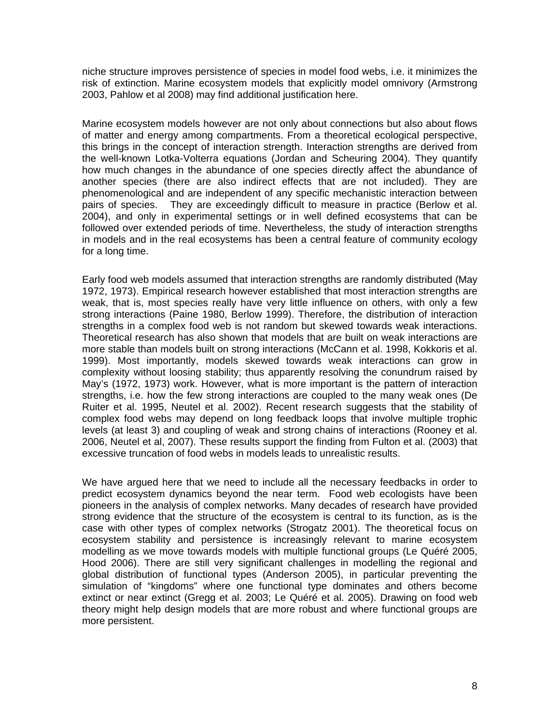niche structure improves persistence of species in model food webs, i.e. it minimizes the risk of extinction. Marine ecosystem models that explicitly model omnivory (Armstrong 2003, Pahlow et al 2008) may find additional justification here.

Marine ecosystem models however are not only about connections but also about flows of matter and energy among compartments. From a theoretical ecological perspective, this brings in the concept of interaction strength. Interaction strengths are derived from the well-known Lotka-Volterra equations (Jordan and Scheuring 2004). They quantify how much changes in the abundance of one species directly affect the abundance of another species (there are also indirect effects that are not included). They are phenomenological and are independent of any specific mechanistic interaction between pairs of species. They are exceedingly difficult to measure in practice (Berlow et al. 2004), and only in experimental settings or in well defined ecosystems that can be followed over extended periods of time. Nevertheless, the study of interaction strengths in models and in the real ecosystems has been a central feature of community ecology for a long time.

Early food web models assumed that interaction strengths are randomly distributed (May 1972, 1973). Empirical research however established that most interaction strengths are weak, that is, most species really have very little influence on others, with only a few strong interactions (Paine 1980, Berlow 1999). Therefore, the distribution of interaction strengths in a complex food web is not random but skewed towards weak interactions. Theoretical research has also shown that models that are built on weak interactions are more stable than models built on strong interactions (McCann et al. 1998, Kokkoris et al. 1999). Most importantly, models skewed towards weak interactions can grow in complexity without loosing stability; thus apparently resolving the conundrum raised by May's (1972, 1973) work. However, what is more important is the pattern of interaction strengths, i.e. how the few strong interactions are coupled to the many weak ones (De Ruiter et al. 1995, Neutel et al. 2002). Recent research suggests that the stability of complex food webs may depend on long feedback loops that involve multiple trophic levels (at least 3) and coupling of weak and strong chains of interactions (Rooney et al. 2006, Neutel et al, 2007). These results support the finding from Fulton et al. (2003) that excessive truncation of food webs in models leads to unrealistic results.

We have argued here that we need to include all the necessary feedbacks in order to predict ecosystem dynamics beyond the near term. Food web ecologists have been pioneers in the analysis of complex networks. Many decades of research have provided strong evidence that the structure of the ecosystem is central to its function, as is the case with other types of complex networks (Strogatz 2001). The theoretical focus on ecosystem stability and persistence is increasingly relevant to marine ecosystem modelling as we move towards models with multiple functional groups (Le Quéré 2005, Hood 2006). There are still very significant challenges in modelling the regional and global distribution of functional types (Anderson 2005), in particular preventing the simulation of "kingdoms" where one functional type dominates and others become extinct or near extinct (Gregg et al. 2003; Le Quéré et al. 2005). Drawing on food web theory might help design models that are more robust and where functional groups are more persistent.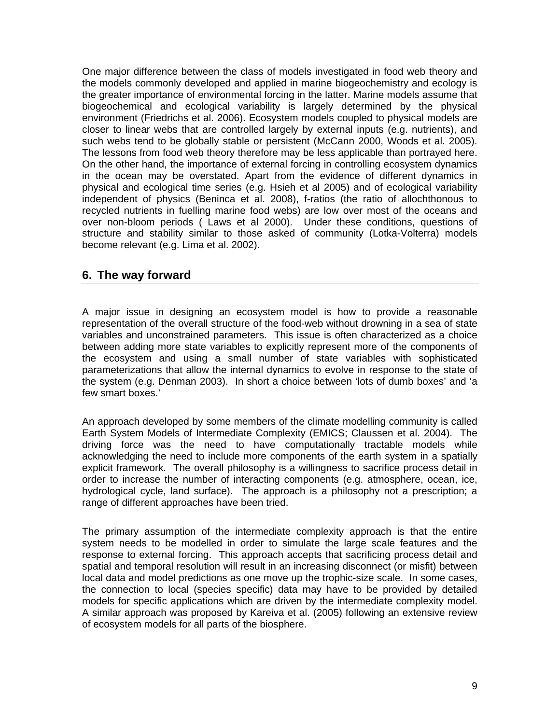One major difference between the class of models investigated in food web theory and the models commonly developed and applied in marine biogeochemistry and ecology is the greater importance of environmental forcing in the latter. Marine models assume that biogeochemical and ecological variability is largely determined by the physical environment (Friedrichs et al. 2006). Ecosystem models coupled to physical models are closer to linear webs that are controlled largely by external inputs (e.g. nutrients), and such webs tend to be globally stable or persistent (McCann 2000, Woods et al. 2005). The lessons from food web theory therefore may be less applicable than portrayed here. On the other hand, the importance of external forcing in controlling ecosystem dynamics in the ocean may be overstated. Apart from the evidence of different dynamics in physical and ecological time series (e.g. Hsieh et al 2005) and of ecological variability independent of physics (Beninca et al. 2008), f-ratios (the ratio of allochthonous to recycled nutrients in fuelling marine food webs) are low over most of the oceans and over non-bloom periods ( Laws et al 2000). Under these conditions, questions of structure and stability similar to those asked of community (Lotka-Volterra) models become relevant (e.g. Lima et al. 2002).

## **6. The way forward**

A major issue in designing an ecosystem model is how to provide a reasonable representation of the overall structure of the food-web without drowning in a sea of state variables and unconstrained parameters. This issue is often characterized as a choice between adding more state variables to explicitly represent more of the components of the ecosystem and using a small number of state variables with sophisticated parameterizations that allow the internal dynamics to evolve in response to the state of the system (e.g. Denman 2003). In short a choice between 'lots of dumb boxes' and 'a few smart boxes.'

An approach developed by some members of the climate modelling community is called Earth System Models of Intermediate Complexity (EMICS; Claussen et al. 2004). The driving force was the need to have computationally tractable models while acknowledging the need to include more components of the earth system in a spatially explicit framework. The overall philosophy is a willingness to sacrifice process detail in order to increase the number of interacting components (e.g. atmosphere, ocean, ice, hydrological cycle, land surface). The approach is a philosophy not a prescription; a range of different approaches have been tried.

The primary assumption of the intermediate complexity approach is that the entire system needs to be modelled in order to simulate the large scale features and the response to external forcing. This approach accepts that sacrificing process detail and spatial and temporal resolution will result in an increasing disconnect (or misfit) between local data and model predictions as one move up the trophic-size scale. In some cases, the connection to local (species specific) data may have to be provided by detailed models for specific applications which are driven by the intermediate complexity model. A similar approach was proposed by Kareiva et al. (2005) following an extensive review of ecosystem models for all parts of the biosphere.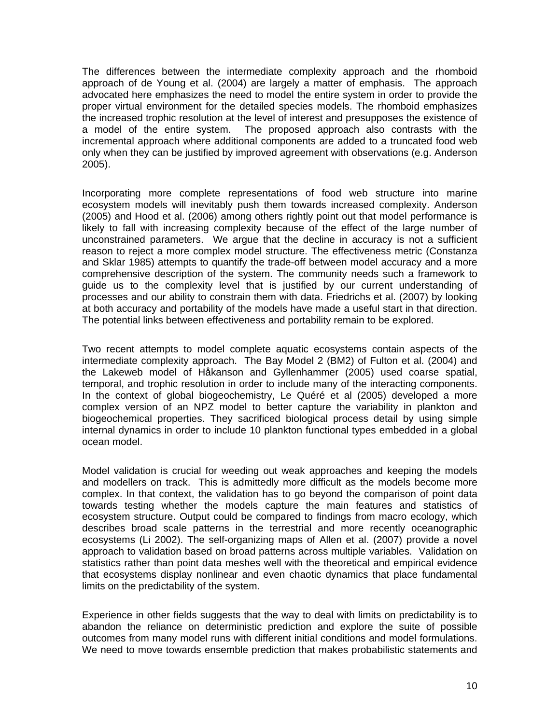The differences between the intermediate complexity approach and the rhomboid approach of de Young et al. (2004) are largely a matter of emphasis. The approach advocated here emphasizes the need to model the entire system in order to provide the proper virtual environment for the detailed species models. The rhomboid emphasizes the increased trophic resolution at the level of interest and presupposes the existence of a model of the entire system. The proposed approach also contrasts with the incremental approach where additional components are added to a truncated food web only when they can be justified by improved agreement with observations (e.g. Anderson 2005).

Incorporating more complete representations of food web structure into marine ecosystem models will inevitably push them towards increased complexity. Anderson (2005) and Hood et al. (2006) among others rightly point out that model performance is likely to fall with increasing complexity because of the effect of the large number of unconstrained parameters. We argue that the decline in accuracy is not a sufficient reason to reject a more complex model structure. The effectiveness metric (Constanza and Sklar 1985) attempts to quantify the trade-off between model accuracy and a more comprehensive description of the system. The community needs such a framework to guide us to the complexity level that is justified by our current understanding of processes and our ability to constrain them with data. Friedrichs et al. (2007) by looking at both accuracy and portability of the models have made a useful start in that direction. The potential links between effectiveness and portability remain to be explored.

Two recent attempts to model complete aquatic ecosystems contain aspects of the intermediate complexity approach. The Bay Model 2 (BM2) of Fulton et al. (2004) and the Lakeweb model of Håkanson and Gyllenhammer (2005) used coarse spatial, temporal, and trophic resolution in order to include many of the interacting components. In the context of global biogeochemistry, Le Quéré et al (2005) developed a more complex version of an NPZ model to better capture the variability in plankton and biogeochemical properties. They sacrificed biological process detail by using simple internal dynamics in order to include 10 plankton functional types embedded in a global ocean model.

Model validation is crucial for weeding out weak approaches and keeping the models and modellers on track. This is admittedly more difficult as the models become more complex. In that context, the validation has to go beyond the comparison of point data towards testing whether the models capture the main features and statistics of ecosystem structure. Output could be compared to findings from macro ecology, which describes broad scale patterns in the terrestrial and more recently oceanographic ecosystems (Li 2002). The self-organizing maps of Allen et al. (2007) provide a novel approach to validation based on broad patterns across multiple variables. Validation on statistics rather than point data meshes well with the theoretical and empirical evidence that ecosystems display nonlinear and even chaotic dynamics that place fundamental limits on the predictability of the system.

Experience in other fields suggests that the way to deal with limits on predictability is to abandon the reliance on deterministic prediction and explore the suite of possible outcomes from many model runs with different initial conditions and model formulations. We need to move towards ensemble prediction that makes probabilistic statements and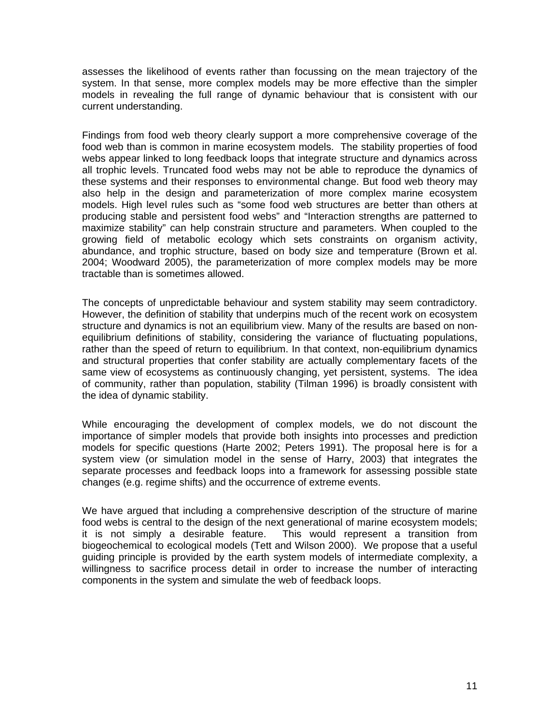assesses the likelihood of events rather than focussing on the mean trajectory of the system. In that sense, more complex models may be more effective than the simpler models in revealing the full range of dynamic behaviour that is consistent with our current understanding.

Findings from food web theory clearly support a more comprehensive coverage of the food web than is common in marine ecosystem models. The stability properties of food webs appear linked to long feedback loops that integrate structure and dynamics across all trophic levels. Truncated food webs may not be able to reproduce the dynamics of these systems and their responses to environmental change. But food web theory may also help in the design and parameterization of more complex marine ecosystem models. High level rules such as "some food web structures are better than others at producing stable and persistent food webs" and "Interaction strengths are patterned to maximize stability" can help constrain structure and parameters. When coupled to the growing field of metabolic ecology which sets constraints on organism activity, abundance, and trophic structure, based on body size and temperature (Brown et al. 2004; Woodward 2005), the parameterization of more complex models may be more tractable than is sometimes allowed.

The concepts of unpredictable behaviour and system stability may seem contradictory. However, the definition of stability that underpins much of the recent work on ecosystem structure and dynamics is not an equilibrium view. Many of the results are based on nonequilibrium definitions of stability, considering the variance of fluctuating populations, rather than the speed of return to equilibrium. In that context, non-equilibrium dynamics and structural properties that confer stability are actually complementary facets of the same view of ecosystems as continuously changing, yet persistent, systems. The idea of community, rather than population, stability (Tilman 1996) is broadly consistent with the idea of dynamic stability.

While encouraging the development of complex models, we do not discount the importance of simpler models that provide both insights into processes and prediction models for specific questions (Harte 2002; Peters 1991). The proposal here is for a system view (or simulation model in the sense of Harry, 2003) that integrates the separate processes and feedback loops into a framework for assessing possible state changes (e.g. regime shifts) and the occurrence of extreme events.

We have argued that including a comprehensive description of the structure of marine food webs is central to the design of the next generational of marine ecosystem models; it is not simply a desirable feature. This would represent a transition from biogeochemical to ecological models (Tett and Wilson 2000). We propose that a useful guiding principle is provided by the earth system models of intermediate complexity, a willingness to sacrifice process detail in order to increase the number of interacting components in the system and simulate the web of feedback loops.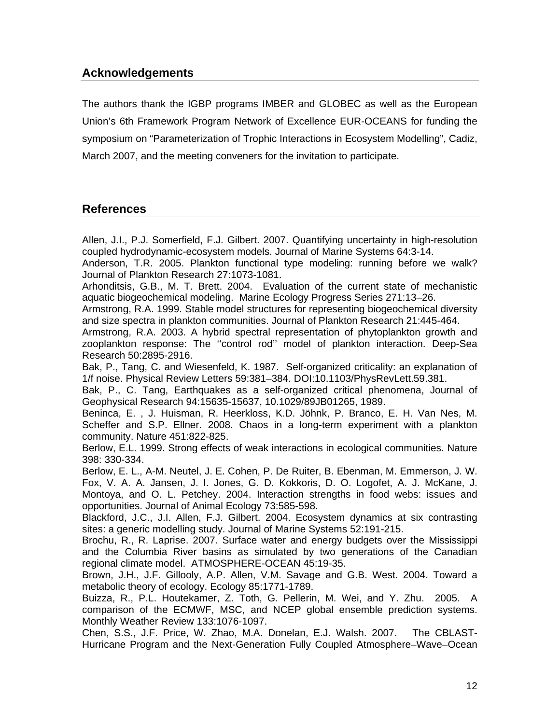# **Acknowledgements**

The authors thank the IGBP programs IMBER and GLOBEC as well as the European Union's 6th Framework Program Network of Excellence EUR-OCEANS for funding the symposium on "Parameterization of Trophic Interactions in Ecosystem Modelling", Cadiz, March 2007, and the meeting conveners for the invitation to participate.

# **References**

Allen, J.I., P.J. Somerfield, F.J. Gilbert. 2007. Quantifying uncertainty in high-resolution coupled hydrodynamic-ecosystem models. Journal of Marine Systems 64:3-14.

Anderson, T.R. 2005. Plankton functional type modeling: running before we walk? Journal of Plankton Research 27:1073-1081.

Arhonditsis, G.B., M. T. Brett. 2004. Evaluation of the current state of mechanistic aquatic biogeochemical modeling. Marine Ecology Progress Series 271:13–26.

Armstrong, R.A. 1999. Stable model structures for representing biogeochemical diversity and size spectra in plankton communities. Journal of Plankton Research 21:445-464.

Armstrong, R.A. 2003. A hybrid spectral representation of phytoplankton growth and zooplankton response: The ''control rod'' model of plankton interaction. Deep-Sea Research 50:2895-2916.

Bak, P., Tang, C. and Wiesenfeld, K. 1987. Self-organized criticality: an explanation of 1/f noise. Physical Review Letters 59:381–384. DOI:10.1103/PhysRevLett.59.381.

Bak, P., C. Tang, Earthquakes as a self-organized critical phenomena, Journal of Geophysical Research 94:15635-15637, 10.1029/89JB01265, 1989.

Beninca, E. , J. Huisman, R. Heerkloss, K.D. Jöhnk, P. Branco, E. H. Van Nes, M. Scheffer and S.P. Ellner. 2008. Chaos in a long-term experiment with a plankton community. Nature 451:822-825.

Berlow, E.L. 1999. Strong effects of weak interactions in ecological communities. Nature 398: 330-334.

Berlow, E. L., A-M. Neutel, J. E. Cohen, P. De Ruiter, B. Ebenman, M. Emmerson, J. W. Fox, V. A. A. Jansen, J. I. Jones, G. D. Kokkoris, D. O. Logofet, A. J. McKane, J. Montoya, and O. L. Petchey. 2004. Interaction strengths in food webs: issues and opportunities. Journal of Animal Ecology 73:585-598.

Blackford, J.C., J.I. Allen, F.J. Gilbert. 2004. Ecosystem dynamics at six contrasting sites: a generic modelling study. Journal of Marine Systems 52:191-215.

Brochu, R., R. Laprise. 2007. Surface water and energy budgets over the Mississippi and the Columbia River basins as simulated by two generations of the Canadian regional climate model. ATMOSPHERE-OCEAN 45:19-35.

Brown, J.H., J.F. Gillooly, A.P. Allen, V.M. Savage and G.B. West. 2004. Toward a metabolic theory of ecology. Ecology 85:1771-1789.

Buizza, R., P.L. Houtekamer, Z. Toth, G. Pellerin, M. Wei, and Y. Zhu. 2005. A comparison of the ECMWF, MSC, and NCEP global ensemble prediction systems. Monthly Weather Review 133:1076-1097.

Chen, S.S., J.F. Price, W. Zhao, M.A. Donelan, E.J. Walsh. 2007. The CBLAST-Hurricane Program and the Next-Generation Fully Coupled Atmosphere–Wave–Ocean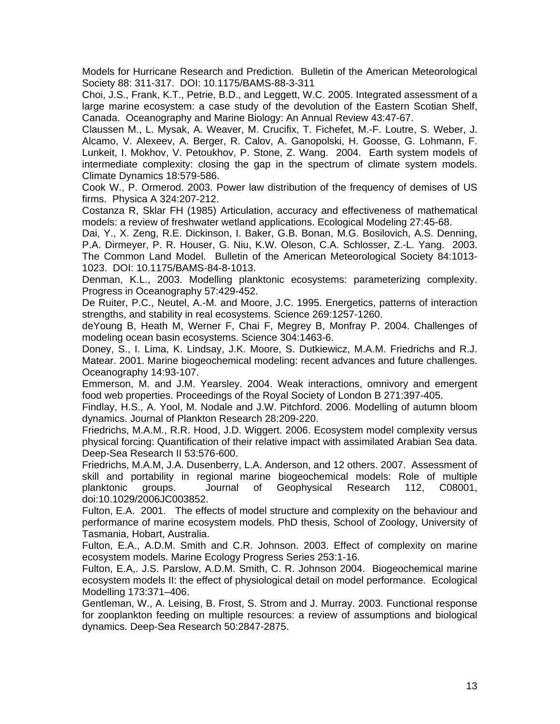Models for Hurricane Research and Prediction. Bulletin of the American Meteorological Society 88: 311-317. DOI: 10.1175/BAMS-88-3-311

Choi, J.S., Frank, K.T., Petrie, B.D., and Leggett, W.C. 2005. Integrated assessment of a large marine ecosystem: a case study of the devolution of the Eastern Scotian Shelf, Canada. Oceanography and Marine Biology: An Annual Review 43:47-67.

Claussen M., L. Mysak, A. Weaver, M. Crucifix, T. Fichefet, M.-F. Loutre, S. Weber, J. Alcamo, V. Alexeev, A. Berger, R. Calov, A. Ganopolski, H. Goosse, G. Lohmann, F. Lunkeit, I. Mokhov, V. Petoukhov, P. Stone, Z. Wang. 2004. Earth system models of intermediate complexity: closing the gap in the spectrum of climate system models. Climate Dynamics 18:579-586.

Cook W., P. Ormerod. 2003. Power law distribution of the frequency of demises of US firms. Physica A 324:207-212.

Costanza R, Sklar FH (1985) Articulation, accuracy and effectiveness of mathematical models: a review of freshwater wetland applications. Ecological Modeling 27:45-68.

Dai, Y., X. Zeng, R.E. Dickinson, I. Baker, G.B. Bonan, M.G. Bosilovich, A.S. Denning, P.A. Dirmeyer, P. R. Houser, G. Niu, K.W. Oleson, C.A. Schlosser, Z.-L. Yang. 2003. The Common Land Model. Bulletin of the American Meteorological Society 84:1013- 1023. DOI: 10.1175/BAMS-84-8-1013.

Denman, K.L., 2003. Modelling planktonic ecosystems: parameterizing complexity. Progress in Oceanography 57:429-452.

De Ruiter, P.C., Neutel, A.-M. and Moore, J.C. 1995. Energetics, patterns of interaction strengths, and stability in real ecosystems. Science 269:1257-1260.

deYoung B, Heath M, Werner F, Chai F, Megrey B, Monfray P. 2004. Challenges of modeling ocean basin ecosystems. Science 304:1463-6.

Doney, S., I. Lima, K. Lindsay, J.K. Moore, S. Dutkiewicz, M.A.M. Friedrichs and R.J. Matear. 2001. Marine biogeochemical modeling: recent advances and future challenges. Oceanography 14:93-107.

Emmerson, M. and J.M. Yearsley. 2004. Weak interactions, omnivory and emergent food web properties. Proceedings of the Royal Society of London B 271:397-405.

Findlay, H.S., A. Yool, M. Nodale and J.W. Pitchford. 2006. Modelling of autumn bloom dynamics. Journal of Plankton Research 28:209-220.

Friedrichs, M.A.M., R.R. Hood, J.D. Wiggert. 2006. Ecosystem model complexity versus physical forcing: Quantification of their relative impact with assimilated Arabian Sea data. Deep-Sea Research II 53:576-600.

Friedrichs, M.A.M, J.A. Dusenberry, L.A. Anderson, and 12 others. 2007. Assessment of skill and portability in regional marine biogeochemical models: Role of multiple planktonic groups. Journal of Geophysical Research 112, C08001, doi:10.1029/2006JC003852.

Fulton, E.A. 2001. The effects of model structure and complexity on the behaviour and performance of marine ecosystem models. PhD thesis, School of Zoology, University of Tasmania, Hobart, Australia.

Fulton, E.A., A.D.M. Smith and C.R. Johnson. 2003. Effect of complexity on marine ecosystem models. Marine Ecology Progress Series 253:1-16.

Fulton, E.A,. J.S. Parslow, A.D.M. Smith, C. R. Johnson 2004. Biogeochemical marine ecosystem models II: the effect of physiological detail on model performance. Ecological Modelling 173:371–406.

Gentleman, W., A. Leising, B. Frost, S. Strom and J. Murray. 2003. Functional response for zooplankton feeding on multiple resources: a review of assumptions and biological dynamics. Deep-Sea Research 50:2847-2875.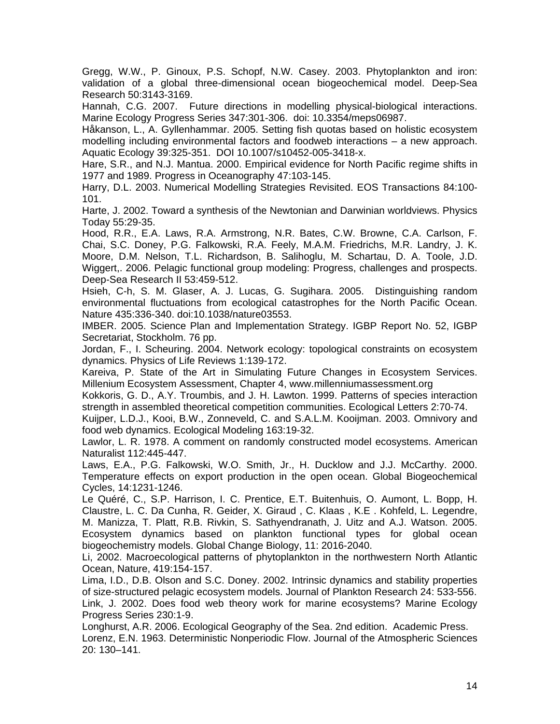Gregg, W.W., P. Ginoux, P.S. Schopf, N.W. Casey. 2003. Phytoplankton and iron: validation of a global three-dimensional ocean biogeochemical model. Deep-Sea Research 50:3143-3169.

Hannah, C.G. 2007. Future directions in modelling physical-biological interactions. Marine Ecology Progress Series 347:301-306. doi: 10.3354/meps06987.

Håkanson, L., A. Gyllenhammar. 2005. Setting fish quotas based on holistic ecosystem modelling including environmental factors and foodweb interactions – a new approach. Aquatic Ecology 39:325-351. DOI 10.1007/s10452-005-3418-x.

Hare, S.R., and N.J. Mantua. 2000. Empirical evidence for North Pacific regime shifts in 1977 and 1989. Progress in Oceanography 47:103-145.

Harry, D.L. 2003. Numerical Modelling Strategies Revisited. EOS Transactions 84:100- 101.

Harte, J. 2002. Toward a synthesis of the Newtonian and Darwinian worldviews. Physics Today 55:29-35.

Hood, R.R., E.A. Laws, R.A. Armstrong, N.R. Bates, C.W. Browne, C.A. Carlson, F. Chai, S.C. Doney, P.G. Falkowski, R.A. Feely, M.A.M. Friedrichs, M.R. Landry, J. K. Moore, D.M. Nelson, T.L. Richardson, B. Salihoglu, M. Schartau, D. A. Toole, J.D. Wiggert,. 2006. Pelagic functional group modeling: Progress, challenges and prospects. Deep-Sea Research II 53:459-512.

Hsieh, C-h, S. M. Glaser, A. J. Lucas, G. Sugihara. 2005. Distinguishing random environmental fluctuations from ecological catastrophes for the North Pacific Ocean. Nature 435:336-340. doi:10.1038/nature03553.

IMBER. 2005. Science Plan and Implementation Strategy. IGBP Report No. 52, IGBP Secretariat, Stockholm. 76 pp.

Jordan, F., I. Scheuring. 2004. Network ecology: topological constraints on ecosystem dynamics. Physics of Life Reviews 1:139-172.

Kareiva, P. State of the Art in Simulating Future Changes in Ecosystem Services. Millenium Ecosystem Assessment, Chapter 4, www.millenniumassessment.org

Kokkoris, G. D., A.Y. Troumbis, and J. H. Lawton. 1999. Patterns of species interaction strength in assembled theoretical competition communities. Ecological Letters 2:70-74.

Kuijper, L.D.J., Kooi, B.W., Zonneveld, C. and S.A.L.M. Kooijman. 2003. Omnivory and food web dynamics. Ecological Modeling 163:19-32.

Lawlor, L. R. 1978. A comment on randomly constructed model ecosystems. American Naturalist 112:445-447.

Laws, E.A., P.G. Falkowski, W.O. Smith, Jr., H. Ducklow and J.J. McCarthy. 2000. Temperature effects on export production in the open ocean. Global Biogeochemical Cycles, 14:1231-1246.

Le Quéré, C., S.P. Harrison, I. C. Prentice, E.T. Buitenhuis, O. Aumont, L. Bopp, H. Claustre, L. C. Da Cunha, R. Geider, X. Giraud , C. Klaas , K.E . Kohfeld, L. Legendre, M. Manizza, T. Platt, R.B. Rivkin, S. Sathyendranath, J. Uitz and A.J. Watson. 2005. Ecosystem dynamics based on plankton functional types for global ocean biogeochemistry models. Global Change Biology, 11: 2016-2040.

Li, 2002. Macroecological patterns of phytoplankton in the northwestern North Atlantic Ocean, Nature, 419:154-157.

Lima, I.D., D.B. Olson and S.C. Doney. 2002. Intrinsic dynamics and stability properties of size-structured pelagic ecosystem models. Journal of Plankton Research 24: 533-556. Link, J. 2002. Does food web theory work for marine ecosystems? Marine Ecology Progress Series 230:1-9.

Longhurst, A.R. 2006. Ecological Geography of the Sea. 2nd edition. Academic Press. Lorenz, E.N. 1963. Deterministic Nonperiodic Flow. Journal of the Atmospheric Sciences 20: 130–141.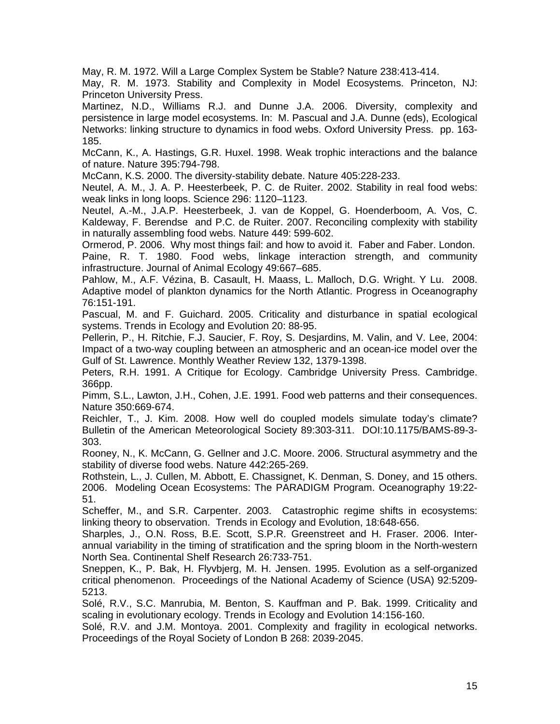May, R. M. 1972. Will a Large Complex System be Stable? Nature 238:413-414.

May, R. M. 1973. Stability and Complexity in Model Ecosystems. Princeton, NJ: Princeton University Press.

Martinez, N.D., Williams R.J. and Dunne J.A. 2006. Diversity, complexity and persistence in large model ecosystems. In: M. Pascual and J.A. Dunne (eds), Ecological Networks: linking structure to dynamics in food webs. Oxford University Press. pp. 163- 185.

McCann, K., A. Hastings, G.R. Huxel. 1998. Weak trophic interactions and the balance of nature. Nature 395:794-798.

McCann, K.S. 2000. The diversity-stability debate. Nature 405:228-233.

Neutel, A. M., J. A. P. Heesterbeek, P. C. de Ruiter. 2002. Stability in real food webs: weak links in long loops. Science 296: 1120–1123.

Neutel, A.-M., J.A.P. Heesterbeek, J. van de Koppel, G. Hoenderboom, A. Vos, C. Kaldeway, F. Berendse and P.C. de Ruiter. 2007. Reconciling complexity with stability in naturally assembling food webs. Nature 449: 599-602.

Ormerod, P. 2006. Why most things fail: and how to avoid it. Faber and Faber. London. Paine, R. T. 1980. Food webs, linkage interaction strength, and community infrastructure. Journal of Animal Ecology 49:667–685.

Pahlow, M., A.F. Vézina, B. Casault, H. Maass, L. Malloch, D.G. Wright. Y Lu. 2008. Adaptive model of plankton dynamics for the North Atlantic. Progress in Oceanography 76:151-191.

Pascual, M. and F. Guichard. 2005. Criticality and disturbance in spatial ecological systems. Trends in Ecology and Evolution 20: 88-95.

Pellerin, P., H. Ritchie, F.J. Saucier, F. Roy, S. Desjardins, M. Valin, and V. Lee, 2004: Impact of a two-way coupling between an atmospheric and an ocean-ice model over the Gulf of St. Lawrence. Monthly Weather Review 132, 1379-1398.

Peters, R.H. 1991. A Critique for Ecology. Cambridge University Press. Cambridge. 366pp.

Pimm, S.L., Lawton, J.H., Cohen, J.E. 1991. Food web patterns and their consequences. Nature 350:669-674.

Reichler, T., J. Kim. 2008. How well do coupled models simulate today's climate? Bulletin of the American Meteorological Society 89:303-311. DOI:10.1175/BAMS-89-3- 303.

Rooney, N., K. McCann, G. Gellner and J.C. Moore. 2006. Structural asymmetry and the stability of diverse food webs. Nature 442:265-269.

Rothstein, L., J. Cullen, M. Abbott, E. Chassignet, K. Denman, S. Doney, and 15 others. 2006. Modeling Ocean Ecosystems: The PARADIGM Program. Oceanography 19:22- 51.

Scheffer, M., and S.R. Carpenter. 2003. Catastrophic regime shifts in ecosystems: linking theory to observation. Trends in Ecology and Evolution, 18:648-656.

Sharples, J., O.N. Ross, B.E. Scott, S.P.R. Greenstreet and H. Fraser. 2006. Interannual variability in the timing of stratification and the spring bloom in the North-western North Sea. Continental Shelf Research 26:733-751.

Sneppen, K., P. Bak, H. Flyvbjerg, M. H. Jensen. 1995. Evolution as a self-organized critical phenomenon. Proceedings of the National Academy of Science (USA) 92:5209- 5213.

Solé, R.V., S.C. Manrubia, M. Benton, S. Kauffman and P. Bak. 1999. Criticality and scaling in evolutionary ecology. Trends in Ecology and Evolution 14:156-160.

Solé, R.V. and J.M. Montoya. 2001. Complexity and fragility in ecological networks. Proceedings of the Royal Society of London B 268: 2039-2045.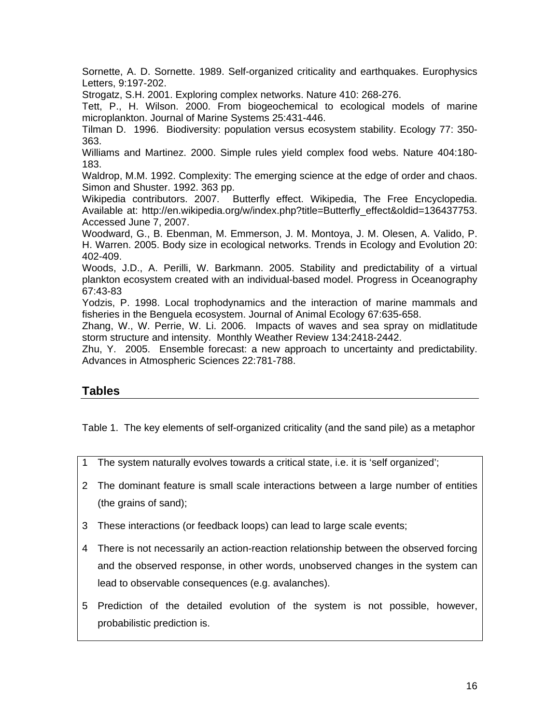Sornette, A. D. Sornette. 1989. Self-organized criticality and earthquakes. Europhysics Letters, 9:197-202.

Strogatz, S.H. 2001. Exploring complex networks. Nature 410: 268-276.

Tett, P., H. Wilson. 2000. From biogeochemical to ecological models of marine microplankton. Journal of Marine Systems 25:431-446.

Tilman D. 1996. Biodiversity: population versus ecosystem stability. Ecology 77: 350- 363.

Williams and Martinez. 2000. Simple rules yield complex food webs. Nature 404:180- 183.

Waldrop, M.M. 1992. Complexity: The emerging science at the edge of order and chaos. Simon and Shuster. 1992. 363 pp.

Wikipedia contributors. 2007. Butterfly effect. Wikipedia, The Free Encyclopedia. Available at: [http://en.wikipedia.org/w/index.php?title=Butterfly\\_effect&oldid=136437753](http://en.wikipedia.org/w/index.php?title=Butterfly_effect&oldid=136437753). Accessed June 7, 2007.

Woodward, G., B. Ebenman, M. Emmerson, J. M. Montoya, J. M. Olesen, A. Valido, P. H. Warren. 2005. Body size in ecological networks. Trends in Ecology and Evolution 20: 402-409.

Woods, J.D., A. Perilli, W. Barkmann. 2005. Stability and predictability of a virtual plankton ecosystem created with an individual-based model. Progress in Oceanography 67:43-83

Yodzis, P. 1998. Local trophodynamics and the interaction of marine mammals and fisheries in the Benguela ecosystem. Journal of Animal Ecology 67:635-658.

Zhang, W., W. Perrie, W. Li. 2006. Impacts of waves and sea spray on midlatitude storm structure and intensity. Monthly Weather Review 134:2418-2442.

Zhu, Y. 2005. Ensemble forecast: a new approach to uncertainty and predictability. Advances in Atmospheric Sciences 22:781-788.

# **Tables**

Table 1. The key elements of self-organized criticality (and the sand pile) as a metaphor

- 1 The system naturally evolves towards a critical state, i.e. it is 'self organized';
- 2 The dominant feature is small scale interactions between a large number of entities (the grains of sand);
- 3 These interactions (or feedback loops) can lead to large scale events;
- 4 There is not necessarily an action-reaction relationship between the observed forcing and the observed response, in other words, unobserved changes in the system can lead to observable consequences (e.g. avalanches).
- 5 Prediction of the detailed evolution of the system is not possible, however, probabilistic prediction is.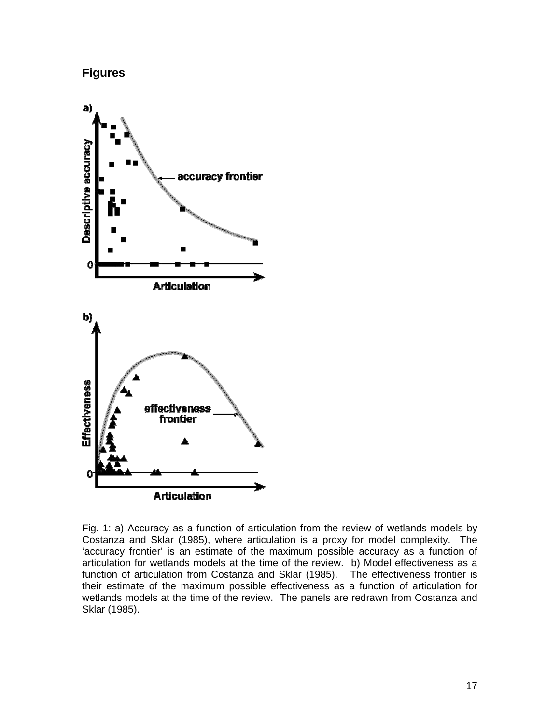

Fig. 1: a) Accuracy as a function of articulation from the review of wetlands models by Costanza and Sklar (1985), where articulation is a proxy for model complexity. The 'accuracy frontier' is an estimate of the maximum possible accuracy as a function of articulation for wetlands models at the time of the review. b) Model effectiveness as a function of articulation from Costanza and Sklar (1985). The effectiveness frontier is their estimate of the maximum possible effectiveness as a function of articulation for wetlands models at the time of the review. The panels are redrawn from Costanza and Sklar (1985).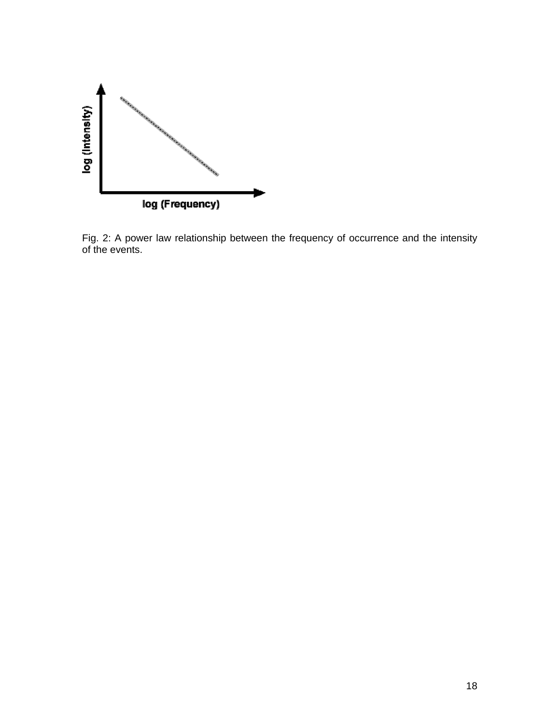

Fig. 2: A power law relationship between the frequency of occurrence and the intensity of the events.